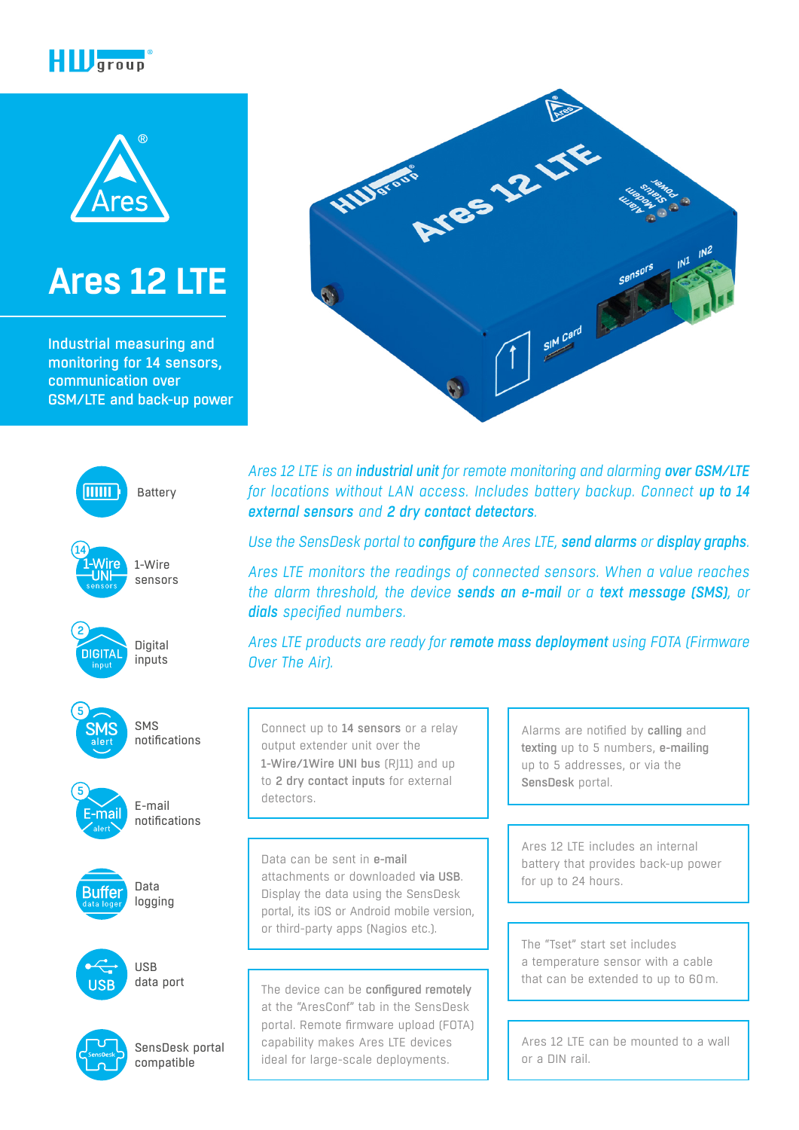



# **[Ares 12 LTE](https://www.hw-group.com/node/9201)**

Industrial measuring and monitoring for 14 sensors, communication over GSM/LTE and back-up power



*Ares 12 LTE is an industrial unit for remote monitoring and alarming over GSM/LTE for locations without LAN access. Includes battery backup. Connect up to 14 external sensors and 2 dry contact detectors.*

Ares 12 LTE

SIM Card

*Use the SensDesk portal to configure the Ares LTE, send alarms or display graphs.*

*Ares LTE monitors the readings of connected sensors. When a value reaches the alarm threshold, the device sends an e-mail or a text message (SMS), or dials specified numbers.*

*Ares LTE products are ready for remote mass deployment using FOTA (Firmware Over The Air).*

Connect up to 14 sensors or a relay output extender unit over the 1-Wire/1Wire UNI bus (R|11) and up to 2 dry contact inputs for external detectors.

Albert

Data can be sent in e-mail attachments or downloaded via USB. Display the data using the SensDesk portal, its iOS or Android mobile version, or third-party apps (Nagios etc.).

The device can be configured remotely at the "AresConf" tab in the SensDesk portal. Remote firmware upload (FOTA) capability makes Ares LTE devices ideal for large-scale deployments.

Alarms are notified by calling and texting up to 5 numbers, e-mailing up to 5 addresses, or via the SensDesk portal.

Ares 12 LTE includes an internal battery that provides back-up power for up to 24 hours.

The "Tset" start set includes a temperature sensor with a cable that can be extended to up to 60m.

Ares 12 LTE can be mounted to a wall or a DIN rail.